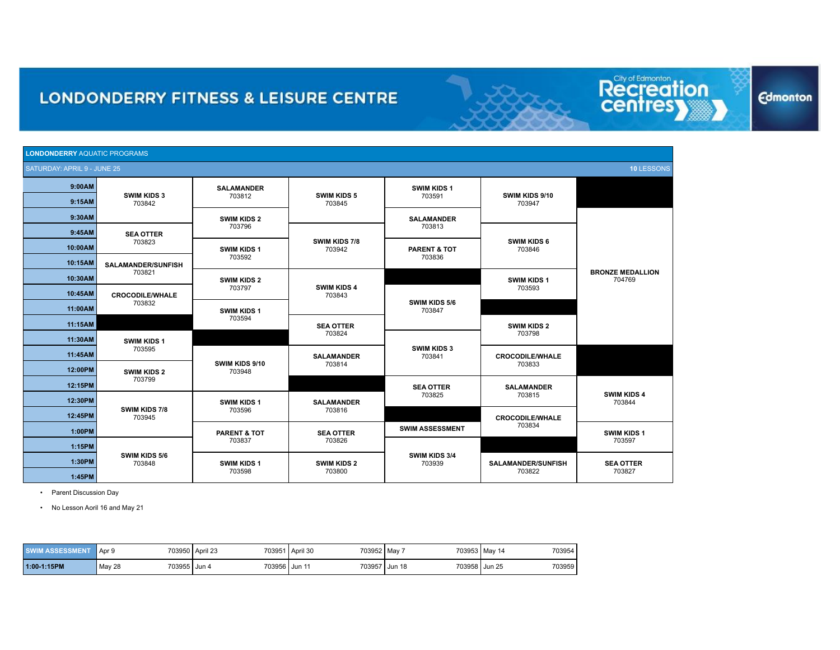| <b>LONDONDERRY AQUATIC PROGRAMS</b>       |                           |                          |                              |                                                             |                                                       |                                   |  |  |
|-------------------------------------------|---------------------------|--------------------------|------------------------------|-------------------------------------------------------------|-------------------------------------------------------|-----------------------------------|--|--|
| 10 LESSONS<br>SATURDAY: APRIL 9 - JUNE 25 |                           |                          |                              |                                                             |                                                       |                                   |  |  |
| 9:00AM                                    | <b>SWIM KIDS 3</b>        | <b>SALAMANDER</b>        |                              | <b>SWIM KIDS 1</b><br>703591<br><b>SALAMANDER</b><br>703813 | SWIM KIDS 9/10<br>703947                              |                                   |  |  |
| 9:15AM                                    | 703842                    | 703812                   | <b>SWIM KIDS 5</b><br>703845 |                                                             |                                                       |                                   |  |  |
| 9:30AM                                    |                           | <b>SWIM KIDS 2</b>       |                              |                                                             |                                                       |                                   |  |  |
| 9:45AM                                    | <b>SEA OTTER</b>          | 703796                   |                              |                                                             |                                                       |                                   |  |  |
| 10:00AM                                   | 703823                    | <b>SWIM KIDS 1</b>       | SWIM KIDS 7/8<br>703942      |                                                             | <b>SWIM KIDS 6</b><br>703846                          |                                   |  |  |
| 10:15AM                                   | <b>SALAMANDER/SUNFISH</b> | 703592                   |                              | 703836                                                      |                                                       | <b>BRONZE MEDALLION</b><br>704769 |  |  |
| 10:30AM                                   | 703821                    | <b>SWIM KIDS 2</b>       |                              |                                                             | <b>SWIM KIDS 1</b>                                    |                                   |  |  |
| 10:45AM                                   | <b>CROCODILE/WHALE</b>    | 703797                   | <b>SWIM KIDS 4</b><br>703843 | SWIM KIDS 5/6<br>703847                                     | 703593                                                |                                   |  |  |
| 11:00AM                                   | 703832                    | SWIM KIDS 1              |                              |                                                             |                                                       |                                   |  |  |
| 11:15AM                                   |                           | 703594                   | <b>SEA OTTER</b>             |                                                             | <b>SWIM KIDS 2</b>                                    |                                   |  |  |
| 11:30AM                                   | <b>SWIM KIDS 1</b>        |                          | 703824                       | <b>SWIM KIDS 3</b><br>703841                                | 703798                                                |                                   |  |  |
| 11:45AM                                   | 703595                    |                          | <b>SALAMANDER</b>            |                                                             | <b>CROCODILE/WHALE</b>                                |                                   |  |  |
| 12:00PM                                   | <b>SWIM KIDS 2</b>        | SWIM KIDS 9/10<br>703948 | 703814                       |                                                             | 703833                                                |                                   |  |  |
| 12:15PM                                   | 703799                    |                          |                              | <b>SEA OTTER</b>                                            | <b>SALAMANDER</b><br>703815<br><b>CROCODILE/WHALE</b> | <b>SWIM KIDS 4</b><br>703844      |  |  |
| 12:30PM                                   |                           | SWIM KIDS 1              | <b>SALAMANDER</b>            | 703825                                                      |                                                       |                                   |  |  |
| 12:45PM                                   | SWIM KIDS 7/8<br>703945   | 703596                   | 703816                       |                                                             |                                                       |                                   |  |  |
| 1:00PM                                    |                           | <b>PARENT &amp; TOT</b>  | <b>SEA OTTER</b>             | <b>SWIM ASSESSMENT</b>                                      | 703834                                                | SWIM KIDS 1                       |  |  |
| 1:15PM                                    |                           | 703837                   | 703826                       |                                                             |                                                       | 703597                            |  |  |
| 1:30PM                                    | SWIM KIDS 5/6<br>703848   | SWIM KIDS 1              | <b>SWIM KIDS 2</b>           | SWIM KIDS 3/4<br>703939                                     | <b>SALAMANDER/SUNFISH</b><br>703822                   | <b>SEA OTTER</b>                  |  |  |
| 1:45PM                                    |                           | 703598                   | 703800                       |                                                             |                                                       | 703827                            |  |  |

Recreation

**Edmonton** 

• Parent Discussion Day

• No Lesson Aoril 16 and May 21

| M ASSESSMENT | Apr 9                    | 703950   April 23 | 703951 April 30<br>703952 May 7 |               | 703953 May 14<br>703954 |
|--------------|--------------------------|-------------------|---------------------------------|---------------|-------------------------|
| 1:00-1:15PM  | 703955   Jun 4<br>May 28 |                   | 703956 Jun 11                   | 703957 Jun 18 | 703958 Jun 25<br>703959 |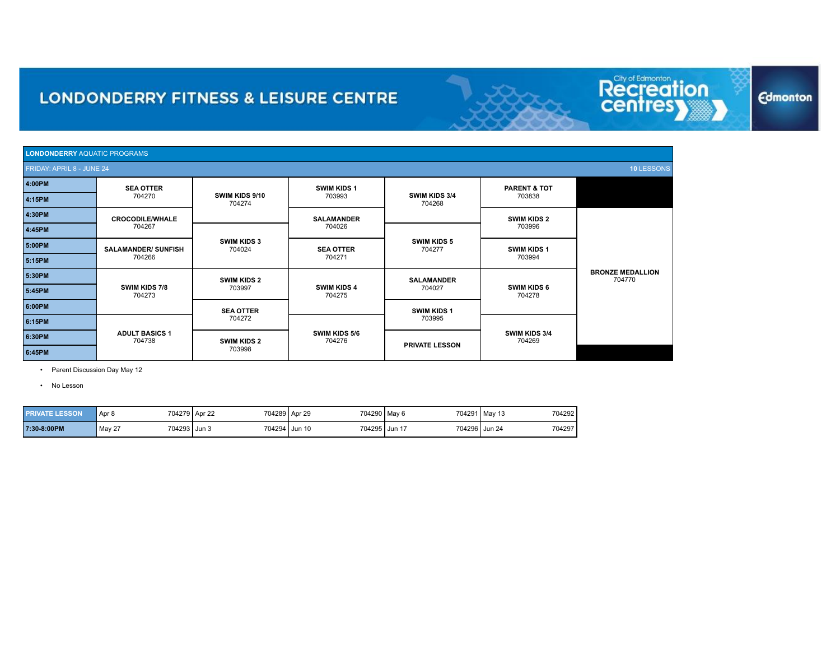| LONDONDERRY AQUATIC PROGRAMS |                                                                |                                                         |                              |                                |                                   |                                   |
|------------------------------|----------------------------------------------------------------|---------------------------------------------------------|------------------------------|--------------------------------|-----------------------------------|-----------------------------------|
| FRIDAY: APRIL 8 - JUNE 24    |                                                                |                                                         |                              |                                |                                   | 10 LESSONS                        |
| 4:00PM                       | <b>SEA OTTER</b>                                               |                                                         | <b>SWIM KIDS 1</b><br>703993 |                                | <b>PARENT &amp; TOT</b><br>703838 |                                   |
| 4:15PM                       | 704270                                                         | SWIM KIDS 9/10<br>704274                                |                              | <b>SWIM KIDS 3/4</b><br>704268 |                                   |                                   |
| 4:30PM                       | <b>CROCODILE/WHALE</b><br>704267<br><b>SALAMANDER/ SUNFISH</b> |                                                         | <b>SALAMANDER</b>            |                                | <b>SWIM KIDS 2</b><br>703996      | <b>BRONZE MEDALLION</b><br>704770 |
| 4:45PM                       |                                                                |                                                         | 704026                       |                                |                                   |                                   |
| 5:00PM                       |                                                                | <b>SWIM KIDS 3</b><br>704024                            | <b>SEA OTTER</b>             | <b>SWIM KIDS 5</b><br>704277   | <b>SWIM KIDS 1</b><br>703994      |                                   |
| 5:15PM                       | 704266                                                         |                                                         | 704271                       |                                |                                   |                                   |
| 5:30PM                       |                                                                | <b>SWIM KIDS 2</b>                                      | <b>SWIM KIDS 4</b><br>704275 | <b>SALAMANDER</b><br>704027    | <b>SWIM KIDS 6</b><br>704278      |                                   |
| 5:45PM                       | SWIM KIDS 7/8<br>704273                                        | 703997                                                  |                              |                                |                                   |                                   |
| 6:00PM                       |                                                                | <b>SEA OTTER</b>                                        |                              |                                |                                   |                                   |
| 6:15PM                       |                                                                | 704272                                                  |                              | 703995                         | <b>SWIM KIDS 3/4</b><br>704269    |                                   |
| 6:30PM                       | <b>ADULT BASICS 1</b><br>704738                                | SWIM KIDS 5/6<br>704276<br><b>SWIM KIDS 2</b><br>703998 |                              | <b>PRIVATE LESSON</b>          |                                   |                                   |
| 6:45PM                       |                                                                |                                                         |                              |                                |                                   |                                   |

Recreation

ce

**Edmonton** 

• Parent Discussion Day May 12

• No Lesson

| <b>PRIVATE LESSON</b> | Apr 8                  | 704289 Apr 29<br>704279 Apr 22 | 704290 May 6  | 704292<br>704291 May 13 |
|-----------------------|------------------------|--------------------------------|---------------|-------------------------|
| 7:30-8:00PM           | 704293 Jun 3<br>May 27 | 704294 Jun 10                  | 704295 Jun 17 | 704297<br>704296 Jun 24 |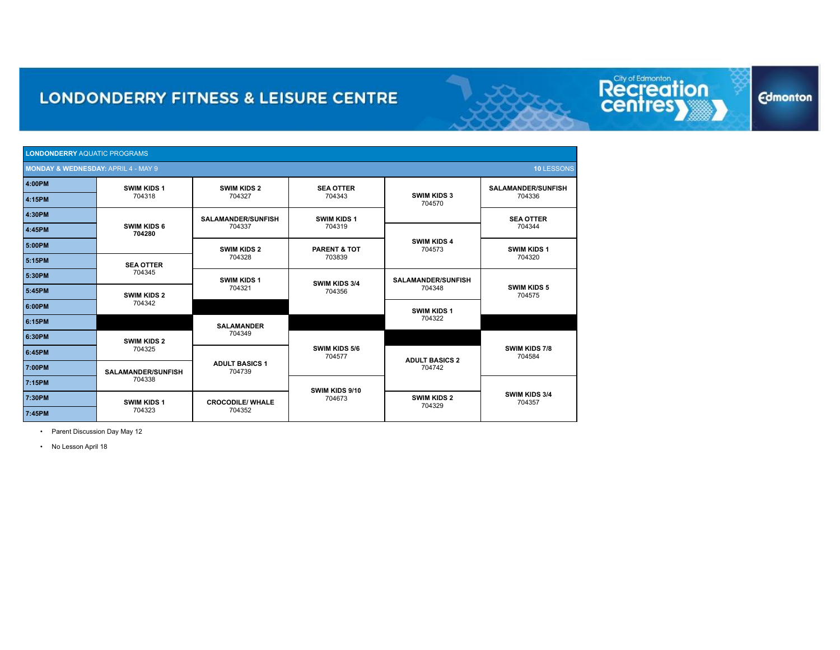| <b>LONDONDERRY AQUATIC PROGRAMS</b>               |                              |                                 |                            |                                     |                              |  |  |  |
|---------------------------------------------------|------------------------------|---------------------------------|----------------------------|-------------------------------------|------------------------------|--|--|--|
| MONDAY & WEDNESDAY: APRIL 4 - MAY 9<br>10 LESSONS |                              |                                 |                            |                                     |                              |  |  |  |
| 4:00PM                                            | <b>SWIM KIDS 1</b>           | <b>SWIM KIDS 2</b><br>704327    | <b>SEA OTTER</b><br>704343 |                                     | <b>SALAMANDER/SUNFISH</b>    |  |  |  |
| 4:15PM                                            | 704318                       |                                 |                            | <b>SWIM KIDS 3</b><br>704570        | 704336                       |  |  |  |
| 4:30PM                                            |                              | <b>SALAMANDER/SUNFISH</b>       | <b>SWIM KIDS 1</b>         |                                     | <b>SEA OTTER</b>             |  |  |  |
| 4:45PM                                            | <b>SWIM KIDS 6</b><br>704280 | 704337                          | 704319                     |                                     | 704344                       |  |  |  |
| 5:00PM                                            |                              | <b>SWIM KIDS 2</b>              | <b>PARENT &amp; TOT</b>    | <b>SWIM KIDS 4</b><br>704573        | <b>SWIM KIDS 1</b><br>704320 |  |  |  |
| 5:15PM                                            | <b>SEA OTTER</b>             | 704328                          | 703839                     |                                     |                              |  |  |  |
| 5:30PM                                            | 704345                       | <b>SWIM KIDS 1</b><br>704321    | SWIM KIDS 3/4<br>704356    | <b>SALAMANDER/SUNFISH</b><br>704348 | <b>SWIM KIDS 5</b><br>704575 |  |  |  |
| 5:45PM                                            | <b>SWIM KIDS 2</b>           |                                 |                            |                                     |                              |  |  |  |
| 6:00PM                                            | 704342                       |                                 |                            | <b>SWIM KIDS 1</b>                  |                              |  |  |  |
| 6:15PM                                            |                              | <b>SALAMANDER</b>               |                            | 704322                              |                              |  |  |  |
| 6:30PM                                            | <b>SWIM KIDS 2</b>           | 704349                          |                            |                                     | SWIM KIDS 7/8<br>704584      |  |  |  |
| 6:45PM                                            | 704325                       |                                 | SWIM KIDS 5/6<br>704577    | <b>ADULT BASICS 2</b>               |                              |  |  |  |
| 7:00PM                                            | <b>SALAMANDER/SUNFISH</b>    | <b>ADULT BASICS 1</b><br>704739 |                            | 704742                              |                              |  |  |  |
| 7:15PM                                            | 704338                       |                                 | SWIM KIDS 9/10             |                                     |                              |  |  |  |
| 7:30PM                                            | <b>SWIM KIDS 1</b>           | <b>CROCODILE/ WHALE</b>         | 704673                     | <b>SWIM KIDS 2</b><br>704329        | SWIM KIDS 3/4<br>704357      |  |  |  |
| 7:45PM                                            | 704323                       | 704352                          |                            |                                     |                              |  |  |  |

Recreation

**Edmonton** 

• Parent Discussion Day May 12

• No Lesson April 18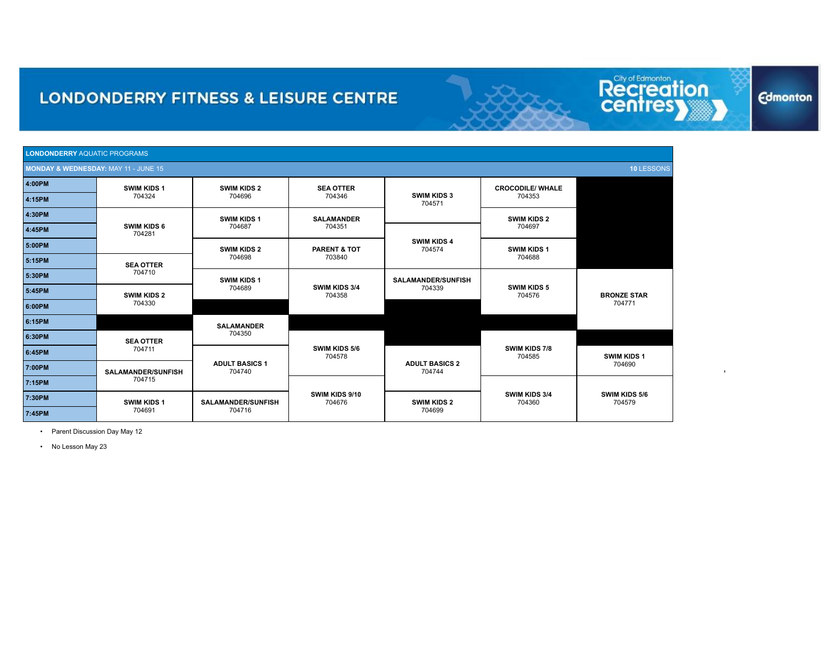| LONDONDERRY AQUATIC PROGRAMS                                  |                              |                                 |                            |                                     |                                   |                         |  |  |
|---------------------------------------------------------------|------------------------------|---------------------------------|----------------------------|-------------------------------------|-----------------------------------|-------------------------|--|--|
| <b>MONDAY &amp; WEDNESDAY: MAY 11 - JUNE 15</b><br>10 LESSONS |                              |                                 |                            |                                     |                                   |                         |  |  |
| 4:00PM                                                        | <b>SWIM KIDS 1</b>           | <b>SWIM KIDS 2</b>              | <b>SEA OTTER</b><br>704346 | <b>SWIM KIDS 3</b><br>704571        | <b>CROCODILE/ WHALE</b><br>704353 |                         |  |  |
| 4:15PM                                                        | 704324                       | 704696                          |                            |                                     |                                   |                         |  |  |
| 4:30PM                                                        |                              | <b>SWIM KIDS 1</b>              | <b>SALAMANDER</b>          |                                     | <b>SWIM KIDS 2</b>                |                         |  |  |
| 4:45PM                                                        | <b>SWIM KIDS 6</b><br>704281 | 704687                          | 704351                     |                                     | 704697                            |                         |  |  |
| 5:00PM                                                        |                              | <b>SWIM KIDS 2</b>              | <b>PARENT &amp; TOT</b>    | <b>SWIM KIDS 4</b><br>704574        | <b>SWIM KIDS 1</b>                |                         |  |  |
| 5:15PM                                                        | <b>SEA OTTER</b>             | 704698<br>703840                |                            | 704688                              |                                   |                         |  |  |
| 5:30PM                                                        | 704710                       | <b>SWIM KIDS 1</b>              |                            | <b>SALAMANDER/SUNFISH</b><br>704339 | <b>SWIM KIDS 5</b><br>704576      |                         |  |  |
| 5:45PM                                                        | <b>SWIM KIDS 2</b>           | 704689                          | SWIM KIDS 3/4<br>704358    |                                     |                                   | <b>BRONZE STAR</b>      |  |  |
| 6:00PM                                                        | 704330                       |                                 |                            |                                     |                                   | 704771                  |  |  |
| 6:15PM                                                        |                              | <b>SALAMANDER</b>               |                            |                                     |                                   |                         |  |  |
| 6:30PM                                                        | <b>SEA OTTER</b>             | 704350                          |                            |                                     | SWIM KIDS 7/8<br>704585           |                         |  |  |
| 6:45PM                                                        | 704711                       |                                 | SWIM KIDS 5/6<br>704578    | <b>ADULT BASICS 2</b><br>704744     |                                   | <b>SWIM KIDS 1</b>      |  |  |
| 7:00PM                                                        | <b>SALAMANDER/SUNFISH</b>    | <b>ADULT BASICS 1</b><br>704740 |                            |                                     |                                   | 704690                  |  |  |
| 7:15PM                                                        | 704715                       |                                 | SWIM KIDS 9/10<br>704676   |                                     | SWIM KIDS 3/4<br>704360           |                         |  |  |
| 7:30PM                                                        | <b>SWIM KIDS 1</b>           | <b>SALAMANDER/SUNFISH</b>       |                            | <b>SWIM KIDS 2</b>                  |                                   | SWIM KIDS 5/6<br>704579 |  |  |
| 7:45PM                                                        | 704691                       | 704716                          |                            | 704699                              |                                   |                         |  |  |

,

**Edmonton** 

Recreation

• Parent Discussion Day May 12

• No Lesson May 23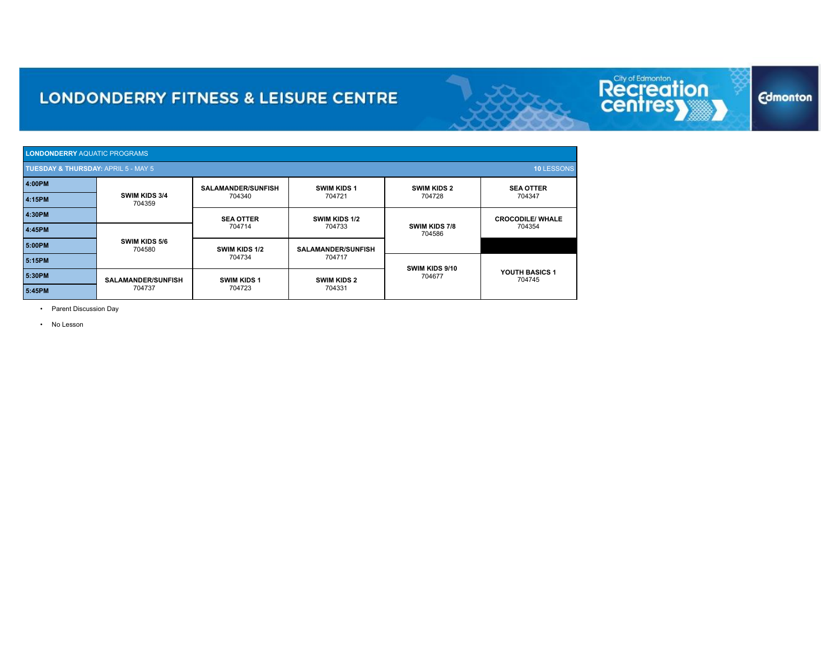| <b>LONDONDERRY AQUATIC PROGRAMS</b>                          |                           |                           |                           |                                                            |                                   |  |  |  |
|--------------------------------------------------------------|---------------------------|---------------------------|---------------------------|------------------------------------------------------------|-----------------------------------|--|--|--|
| 10 LESSONS<br><b>TUESDAY &amp; THURSDAY: APRIL 5 - MAY 5</b> |                           |                           |                           |                                                            |                                   |  |  |  |
| 4:00PM                                                       |                           | <b>SALAMANDER/SUNFISH</b> | <b>SWIM KIDS 1</b>        | <b>SWIM KIDS 2</b>                                         | <b>SEA OTTER</b>                  |  |  |  |
| 4:15PM                                                       | SWIM KIDS 3/4<br>704359   | 704340<br>704721          |                           | 704728                                                     | 704347                            |  |  |  |
| 4:30PM                                                       |                           | <b>SEA OTTER</b>          | SWIM KIDS 1/2             | <b>SWIM KIDS 7/8</b><br>704586<br>SWIM KIDS 9/10<br>704677 | <b>CROCODILE/ WHALE</b><br>704354 |  |  |  |
| 4:45PM                                                       |                           | 704714                    | 704733                    |                                                            |                                   |  |  |  |
| 5:00PM                                                       | SWIM KIDS 5/6<br>704580   | <b>SWIM KIDS 1/2</b>      | <b>SALAMANDER/SUNFISH</b> |                                                            |                                   |  |  |  |
| 5:15PM                                                       |                           | 704734                    | 704717                    |                                                            |                                   |  |  |  |
| 5:30PM                                                       | <b>SALAMANDER/SUNFISH</b> | <b>SWIM KIDS 1</b>        | <b>SWIM KIDS 2</b>        |                                                            | YOUTH BASICS 1<br>704745          |  |  |  |
| 5:45PM                                                       | 704737                    | 704723                    | 704331                    |                                                            |                                   |  |  |  |

• Parent Discussion Day

• No Lesson

## Recreation

**Edmonton**